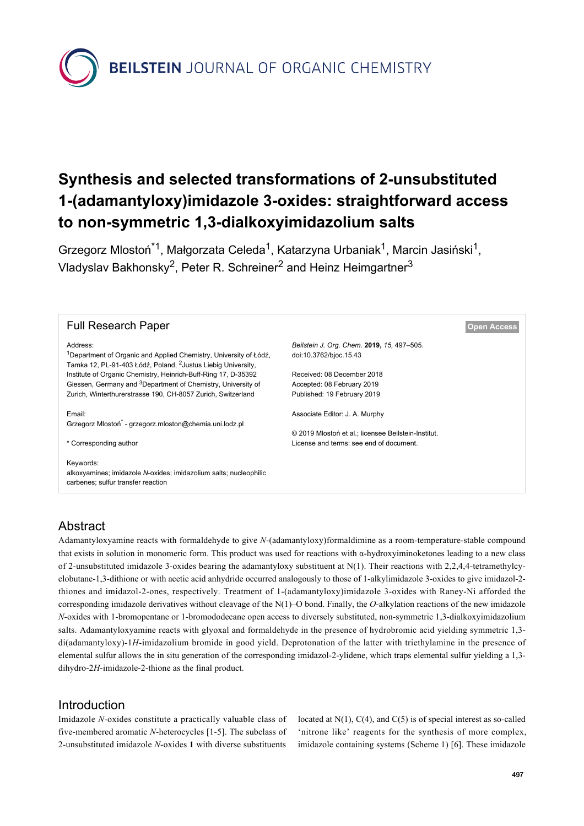**BEILSTEIN** JOURNAL OF ORGANIC CHEMISTRY

# **Synthesis and selected transformations of 2-unsubstituted 1-(adamantyloxy)imidazole 3-oxides: straightforward access to non-symmetric 1,3-dialkoxyimidazolium salts**

Grzegorz Mlostoń<sup>\*1</sup>, Małgorzata Celeda<sup>1</sup>, Katarzyna Urbaniak<sup>1</sup>, Marcin Jasiński<sup>1</sup>, Vladyslav Bakhonsky<sup>2</sup>, Peter R. Schreiner<sup>2</sup> and Heinz Heimgartner<sup>3</sup>

| <b>Full Research Paper</b>                                                                                                                                                                                                                                                                                                                                                          |                                                                                                                                                                 | <b>Open Access</b> |
|-------------------------------------------------------------------------------------------------------------------------------------------------------------------------------------------------------------------------------------------------------------------------------------------------------------------------------------------------------------------------------------|-----------------------------------------------------------------------------------------------------------------------------------------------------------------|--------------------|
| Address:<br><sup>1</sup> Department of Organic and Applied Chemistry, University of Łódź,<br>Tamka 12, PL-91-403 Łódź, Poland, <sup>2</sup> Justus Liebig University,<br>Institute of Organic Chemistry, Heinrich-Buff-Ring 17, D-35392<br>Giessen, Germany and <sup>3</sup> Department of Chemistry, University of<br>Zurich, Winterthurerstrasse 190, CH-8057 Zurich, Switzerland | Beilstein J. Org. Chem. 2019, 15, 497-505.<br>doi:10.3762/bjoc.15.43<br>Received: 08 December 2018<br>Accepted: 08 February 2019<br>Published: 19 February 2019 |                    |
| Email:<br>Grzegorz Mlostoń <sup>*</sup> - grzegorz.mloston@chemia.uni.lodz.pl<br>* Corresponding author                                                                                                                                                                                                                                                                             | Associate Editor: J. A. Murphy<br>© 2019 Mlostoń et al.; licensee Beilstein-Institut.<br>License and terms: see end of document.                                |                    |
| Keywords:<br>alkoxyamines; imidazole N-oxides; imidazolium salts; nucleophilic<br>carbenes; sulfur transfer reaction                                                                                                                                                                                                                                                                |                                                                                                                                                                 |                    |

# Abstract

Adamantyloxyamine reacts with formaldehyde to give *N*-(adamantyloxy)formaldimine as a room-temperature-stable compound that exists in solution in monomeric form. This product was used for reactions with α-hydroxyiminoketones leading to a new class of 2-unsubstituted imidazole 3-oxides bearing the adamantyloxy substituent at  $N(1)$ . Their reactions with 2,2,4,4-tetramethylcyclobutane-1,3-dithione or with acetic acid anhydride occurred analogously to those of 1-alkylimidazole 3-oxides to give imidazol-2 thiones and imidazol-2-ones, respectively. Treatment of 1-(adamantyloxy)imidazole 3-oxides with Raney-Ni afforded the corresponding imidazole derivatives without cleavage of the N(1)–O bond. Finally, the *O*-alkylation reactions of the new imidazole *N*-oxides with 1-bromopentane or 1-bromododecane open access to diversely substituted, non-symmetric 1,3-dialkoxyimidazolium salts. Adamantyloxyamine reacts with glyoxal and formaldehyde in the presence of hydrobromic acid yielding symmetric 1,3 di(adamantyloxy)-1*H*-imidazolium bromide in good yield. Deprotonation of the latter with triethylamine in the presence of elemental sulfur allows the in situ generation of the corresponding imidazol-2-ylidene, which traps elemental sulfur yielding a 1,3 dihydro-2*H*-imidazole-2-thione as the final product.

## Introduction

Imidazole *N*-oxides constitute a practically valuable class of five-membered aromatic *N*-heterocycles [\[1-5\].](#page-7-0) The subclass of 2-unsubstituted imidazole *N*-oxides **1** with diverse substituents located at  $N(1)$ ,  $C(4)$ , and  $C(5)$  is of special interest as so-called 'nitrone like' reagents for the synthesis of more complex, imidazole containing systems [\(Scheme 1\)](#page-1-0) [\[6\]](#page-7-1). These imidazole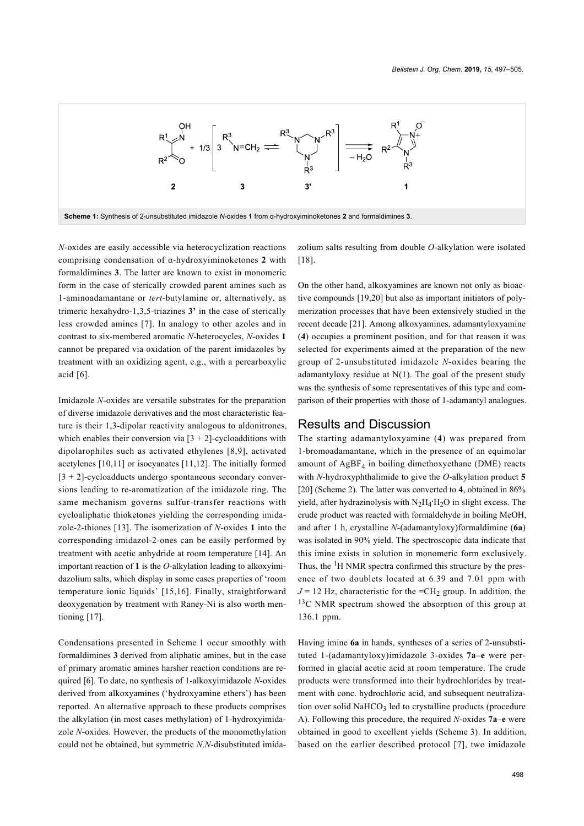<span id="page-1-0"></span>

*N*-oxides are easily accessible via heterocyclization reactions comprising condensation of α-hydroxyiminoketones **2** with formaldimines **3**. The latter are known to exist in monomeric form in the case of sterically crowded parent amines such as 1-aminoadamantane or *tert*-butylamine or, alternatively, as trimeric hexahydro-1,3,5-triazines **3'** in the case of sterically less crowded amines [\[7\]](#page-7-2). In analogy to other azoles and in contrast to six-membered aromatic *N*-heterocycles, *N*-oxides **1** cannot be prepared via oxidation of the parent imidazoles by treatment with an oxidizing agent, e.g., with a percarboxylic acid [\[6\]](#page-7-1).

Imidazole *N*-oxides are versatile substrates for the preparation of diverse imidazole derivatives and the most characteristic feature is their 1,3-dipolar reactivity analogous to aldonitrones, which enables their conversion via  $[3 + 2]$ -cycloadditions with dipolarophiles such as activated ethylenes [\[8,9\]](#page-7-3), activated acetylenes [\[10,11\]](#page-8-0) or isocyanates [\[11,12\].](#page-8-1) The initially formed  $[3 + 2]$ -cycloadducts undergo spontaneous secondary conversions leading to re-aromatization of the imidazole ring. The same mechanism governs sulfur-transfer reactions with cycloaliphatic thioketones yielding the corresponding imidazole-2-thiones [\[13\]](#page-8-2). The isomerization of *N*-oxides **1** into the corresponding imidazol-2-ones can be easily performed by treatment with acetic anhydride at room temperature [\[14\]](#page-8-3). An important reaction of **1** is the *O*-alkylation leading to alkoxyimidazolium salts, which display in some cases properties of 'room temperature ionic liquids' [\[15,16\].](#page-8-4) Finally, straightforward deoxygenation by treatment with Raney-Ni is also worth mentioning [\[17\]](#page-8-5).

Condensations presented in [Scheme 1](#page-1-0) occur smoothly with formaldimines **3** derived from aliphatic amines, but in the case of primary aromatic amines harsher reaction conditions are required [\[6\]](#page-7-1). To date, no synthesis of 1-alkoxyimidazole *N*-oxides derived from alkoxyamines ('hydroxyamine ethers') has been reported. An alternative approach to these products comprises the alkylation (in most cases methylation) of 1-hydroxyimidazole *N*-oxides. However, the products of the monomethylation could not be obtained, but symmetric *N,N*-disubstituted imida-

zolium salts resulting from double *O*-alkylation were isolated [\[18\]](#page-8-6).

On the other hand, alkoxyamines are known not only as bioactive compounds [\[19,20\]](#page-8-7) but also as important initiators of polymerization processes that have been extensively studied in the recent decade [\[21\]](#page-8-8). Among alkoxyamines, adamantyloxyamine (**4**) occupies a prominent position, and for that reason it was selected for experiments aimed at the preparation of the new group of 2-unsubstituted imidazole *N*-oxides bearing the adamantyloxy residue at  $N(1)$ . The goal of the present study was the synthesis of some representatives of this type and comparison of their properties with those of 1-adamantyl analogues.

#### Results and Discussion

The starting adamantyloxyamine (**4**) was prepared from 1-bromoadamantane, which in the presence of an equimolar amount of  $AgBF<sub>4</sub>$  in boiling dimethoxyethane (DME) reacts with *N*-hydroxyphthalimide to give the *O*-alkylation product **5** [\[20\]](#page-8-9) ([Scheme 2](#page-2-0)). The latter was converted to **4**, obtained in 86% yield, after hydrazinolysis with N<sub>2</sub>H<sub>4</sub><sup>·</sup>H<sub>2</sub>O in slight excess. The crude product was reacted with formaldehyde in boiling MeOH, and after 1 h, crystalline *N*-(adamantyloxy)formaldimine (**6a**) was isolated in 90% yield. The spectroscopic data indicate that this imine exists in solution in monomeric form exclusively. Thus, the  ${}^{1}$ H NMR spectra confirmed this structure by the presence of two doublets located at 6.39 and 7.01 ppm with  $J = 12$  Hz, characteristic for the  $=CH_2$  group. In addition, the <sup>13</sup>C NMR spectrum showed the absorption of this group at 136.1 ppm.

Having imine **6a** in hands, syntheses of a series of 2-unsubstituted 1-(adamantyloxy)imidazole 3-oxides **7a–e** were performed in glacial acetic acid at room temperature. The crude products were transformed into their hydrochlorides by treatment with conc. hydrochloric acid, and subsequent neutralization over solid NaHCO<sub>3</sub> led to crystalline products (procedure A). Following this procedure, the required *N*-oxides **7a**–**e** were obtained in good to excellent yields ([Scheme 3\)](#page-2-1). In addition, based on the earlier described protocol [\[7\]](#page-7-2), two imidazole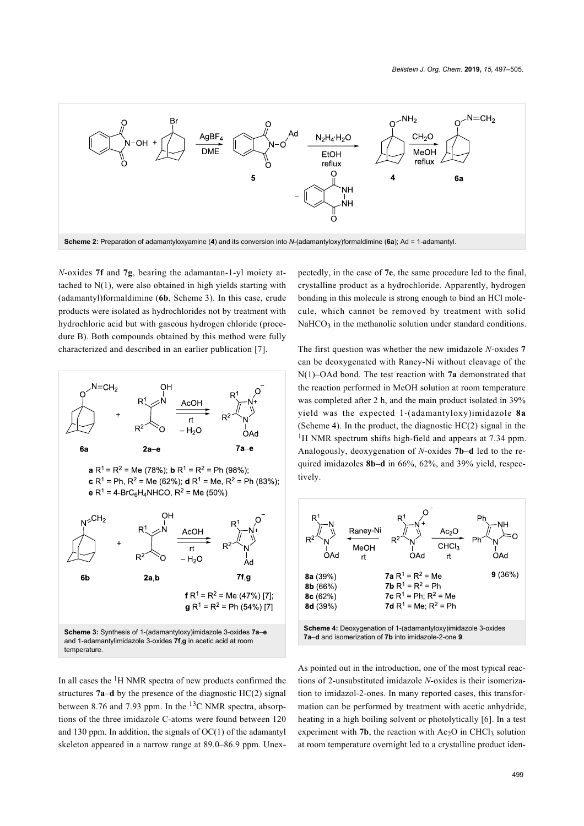<span id="page-2-0"></span>

*N*-oxides **7f** and **7g**, bearing the adamantan-1-yl moiety attached to N(1), were also obtained in high yields starting with (adamantyl)formaldimine (**6b**, [Scheme 3](#page-2-1)). In this case, crude products were isolated as hydrochlorides not by treatment with hydrochloric acid but with gaseous hydrogen chloride (procedure B). Both compounds obtained by this method were fully characterized and described in an earlier publication [\[7\]](#page-7-2).

<span id="page-2-1"></span>

In all cases the 1H NMR spectra of new products confirmed the structures **7a**–**d** by the presence of the diagnostic HC(2) signal between 8.76 and 7.93 ppm. In the  $^{13}$ C NMR spectra, absorptions of the three imidazole C-atoms were found between 120 and 130 ppm. In addition, the signals of  $OC(1)$  of the adamantyl skeleton appeared in a narrow range at 89.0–86.9 ppm. Unexpectedly, in the case of **7e**, the same procedure led to the final, crystalline product as a hydrochloride. Apparently, hydrogen bonding in this molecule is strong enough to bind an HCl molecule, which cannot be removed by treatment with solid  $NaHCO<sub>3</sub>$  in the methanolic solution under standard conditions.

The first question was whether the new imidazole *N*-oxides **7** can be deoxygenated with Raney-Ni without cleavage of the N(1)–OAd bond. The test reaction with **7a** demonstrated that the reaction performed in MeOH solution at room temperature was completed after 2 h, and the main product isolated in 39% yield was the expected 1-(adamantyloxy)imidazole **8a** ([Scheme 4\)](#page-2-2). In the product, the diagnostic HC(2) signal in the <sup>1</sup>H NMR spectrum shifts high-field and appears at 7.34 ppm. Analogously, deoxygenation of *N*-oxides **7b–d** led to the required imidazoles **8b–d** in 66%, 62%, and 39% yield, respectively.

<span id="page-2-2"></span>

As pointed out in the introduction, one of the most typical reactions of 2-unsubstituted imidazole *N*-oxides is their isomerization to imidazol-2-ones. In many reported cases, this transformation can be performed by treatment with acetic anhydride, heating in a high boiling solvent or photolytically [\[6\]](#page-7-1). In a test experiment with  $7b$ , the reaction with  $Ac_2O$  in CHCl<sub>3</sub> solution at room temperature overnight led to a crystalline product iden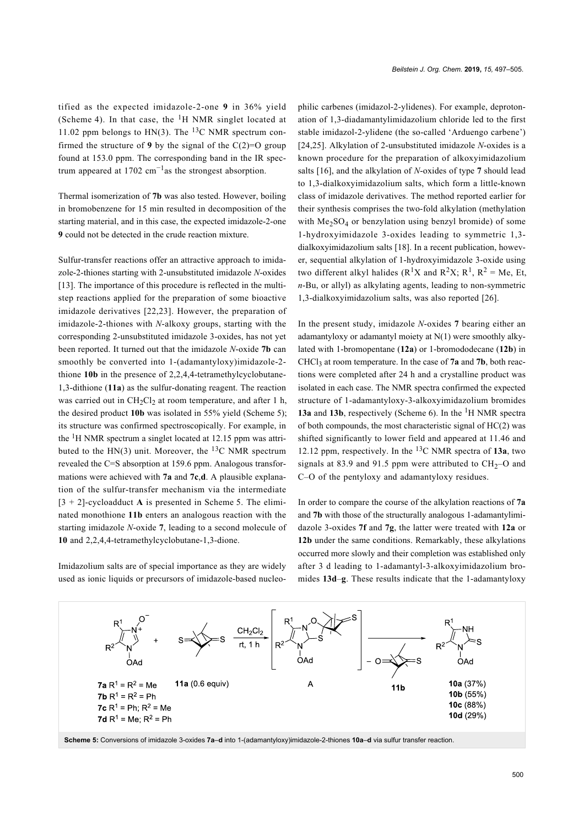tified as the expected imidazole-2-one **9** in 36% yield ([Scheme 4](#page-2-2)). In that case, the  ${}^{1}H$  NMR singlet located at 11.02 ppm belongs to HN(3). The <sup>13</sup>C NMR spectrum confirmed the structure of **9** by the signal of the  $C(2)=O$  group found at 153.0 ppm. The corresponding band in the IR spectrum appeared at  $1702 \text{ cm}^{-1}$  as the strongest absorption.

Thermal isomerization of **7b** was also tested. However, boiling in bromobenzene for 15 min resulted in decomposition of the starting material, and in this case, the expected imidazole-2-one **9** could not be detected in the crude reaction mixture.

Sulfur-transfer reactions offer an attractive approach to imidazole-2-thiones starting with 2-unsubstituted imidazole *N*-oxides [\[13\].](#page-8-2) The importance of this procedure is reflected in the multistep reactions applied for the preparation of some bioactive imidazole derivatives [\[22,23\]](#page-8-10). However, the preparation of imidazole-2-thiones with *N*-alkoxy groups, starting with the corresponding 2-unsubstituted imidazole 3-oxides, has not yet been reported. It turned out that the imidazole *N*-oxide **7b** can smoothly be converted into 1-(adamantyloxy)imidazole-2 thione **10b** in the presence of 2,2,4,4-tetramethylcyclobutane-1,3-dithione (**11a**) as the sulfur-donating reagent. The reaction was carried out in  $CH_2Cl_2$  at room temperature, and after 1 h, the desired product **10b** was isolated in 55% yield ([Scheme 5\)](#page-3-0); its structure was confirmed spectroscopically. For example, in the  ${}^{1}$ H NMR spectrum a singlet located at 12.15 ppm was attributed to the HN(3) unit. Moreover, the  $^{13}$ C NMR spectrum revealed the C=S absorption at 159.6 ppm. Analogous transformations were achieved with **7a** and **7c**,**d**. A plausible explanation of the sulfur-transfer mechanism via the intermediate  $[3 + 2]$ -cycloadduct **A** is presented in [Scheme 5](#page-3-0). The eliminated monothione **11b** enters an analogous reaction with the starting imidazole *N*-oxide **7**, leading to a second molecule of **10** and 2,2,4,4-tetramethylcyclobutane-1,3-dione.

<span id="page-3-0"></span>Imidazolium salts are of special importance as they are widely used as ionic liquids or precursors of imidazole-based nucleo-

philic carbenes (imidazol-2-ylidenes). For example, deprotonation of 1,3-diadamantylimidazolium chloride led to the first stable imidazol-2-ylidene (the so-called 'Arduengo carbene') [\[24,25\]](#page-8-11). Alkylation of 2-unsubstituted imidazole *N*-oxides is a known procedure for the preparation of alkoxyimidazolium salts [\[16\],](#page-8-12) and the alkylation of *N*-oxides of type **7** should lead to 1,3-dialkoxyimidazolium salts, which form a little-known class of imidazole derivatives. The method reported earlier for their synthesis comprises the two-fold alkylation (methylation with  $Me<sub>2</sub>SO<sub>4</sub>$  or benzylation using benzyl bromide) of some 1-hydroxyimidazole 3-oxides leading to symmetric 1,3 dialkoxyimidazolium salts [\[18\]](#page-8-6). In a recent publication, however, sequential alkylation of 1-hydroxyimidazole 3-oxide using two different alkyl halides ( $R<sup>1</sup>X$  and  $R<sup>2</sup>X$ ;  $R<sup>1</sup>$ ,  $R<sup>2</sup>$  = Me, Et, *n*-Bu, or allyl) as alkylating agents, leading to non-symmetric 1,3-dialkoxyimidazolium salts, was also reported [\[26\]](#page-8-13).

In the present study, imidazole *N*-oxides **7** bearing either an adamantyloxy or adamantyl moiety at N(1) were smoothly alkylated with 1-bromopentane (**12a**) or 1-bromododecane (**12b**) in CHCl<sub>3</sub> at room temperature. In the case of  $7a$  and  $7b$ , both reactions were completed after 24 h and a crystalline product was isolated in each case. The NMR spectra confirmed the expected structure of 1-adamantyloxy-3-alkoxyimidazolium bromides **13a** and **13b**, respectively [\(Scheme 6](#page-4-0)). In the <sup>1</sup>H NMR spectra of both compounds, the most characteristic signal of HC(2) was shifted significantly to lower field and appeared at 11.46 and 12.12 ppm, respectively. In the 13C NMR spectra of **13a**, two signals at 83.9 and 91.5 ppm were attributed to  $CH<sub>2</sub>-O$  and C–O of the pentyloxy and adamantyloxy residues.

In order to compare the course of the alkylation reactions of **7a** and **7b** with those of the structurally analogous 1-adamantylimidazole 3-oxides **7f** and **7g**, the latter were treated with **12a** or **12b** under the same conditions. Remarkably, these alkylations occurred more slowly and their completion was established only after 3 d leading to 1-adamantyl-3-alkoxyimidazolium bromides **13d**–**g**. These results indicate that the 1-adamantyloxy

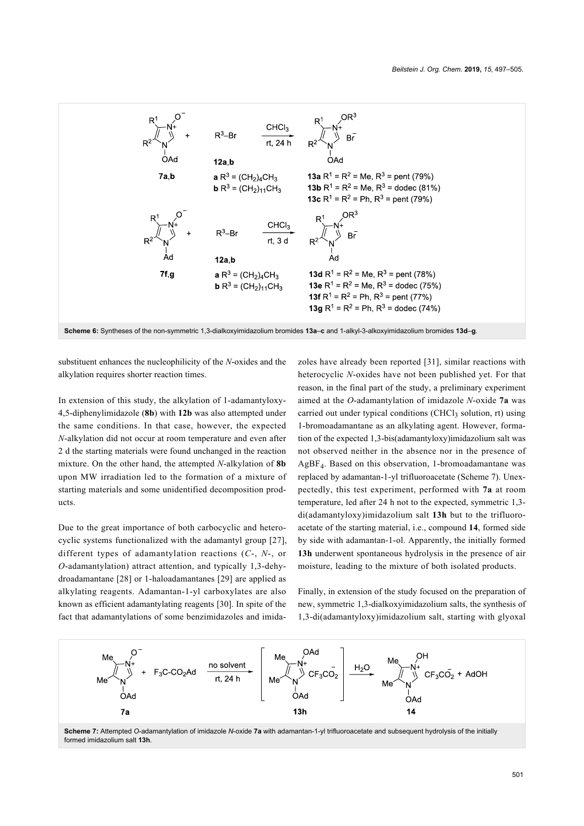<span id="page-4-0"></span>

substituent enhances the nucleophilicity of the *N*-oxides and the alkylation requires shorter reaction times.

In extension of this study, the alkylation of 1-adamantyloxy-4,5-diphenylimidazole (**8b**) with **12b** was also attempted under the same conditions. In that case, however, the expected *N*-alkylation did not occur at room temperature and even after 2 d the starting materials were found unchanged in the reaction mixture. On the other hand, the attempted *N*-alkylation of **8b** upon MW irradiation led to the formation of a mixture of starting materials and some unidentified decomposition products.

Due to the great importance of both carbocyclic and heterocyclic systems functionalized with the adamantyl group [\[27\]](#page-8-14), different types of adamantylation reactions (*C*-, *N*-, or *O*-adamantylation) attract attention, and typically 1,3-dehydroadamantane [\[28\]](#page-8-15) or 1-haloadamantanes [\[29\]](#page-8-16) are applied as alkylating reagents. Adamantan-1-yl carboxylates are also known as efficient adamantylating reagents [\[30\].](#page-8-17) In spite of the fact that adamantylations of some benzimidazoles and imidazoles have already been reported [\[31\]](#page-8-18), similar reactions with heterocyclic *N*-oxides have not been published yet. For that reason, in the final part of the study, a preliminary experiment aimed at the *O*-adamantylation of imidazole *N*-oxide **7a** was carried out under typical conditions  $(CHCl<sub>3</sub>$  solution, rt) using 1-bromoadamantane as an alkylating agent. However, formation of the expected 1,3-bis(adamantyloxy)imidazolium salt was not observed neither in the absence nor in the presence of AgBF4. Based on this observation, 1-bromoadamantane was replaced by adamantan-1-yl trifluoroacetate [\(Scheme 7](#page-4-1)). Unexpectedly, this test experiment, performed with **7a** at room temperature, led after 24 h not to the expected, symmetric 1,3 di(adamantyloxy)imidazolium salt **13h** but to the trifluoroacetate of the starting material, i.e., compound **14**, formed side by side with adamantan-1-ol. Apparently, the initially formed **13h** underwent spontaneous hydrolysis in the presence of air moisture, leading to the mixture of both isolated products.

Finally, in extension of the study focused on the preparation of new, symmetric 1,3-dialkoxyimidazolium salts, the synthesis of 1,3-di(adamantyloxy)imidazolium salt, starting with glyoxal

<span id="page-4-1"></span>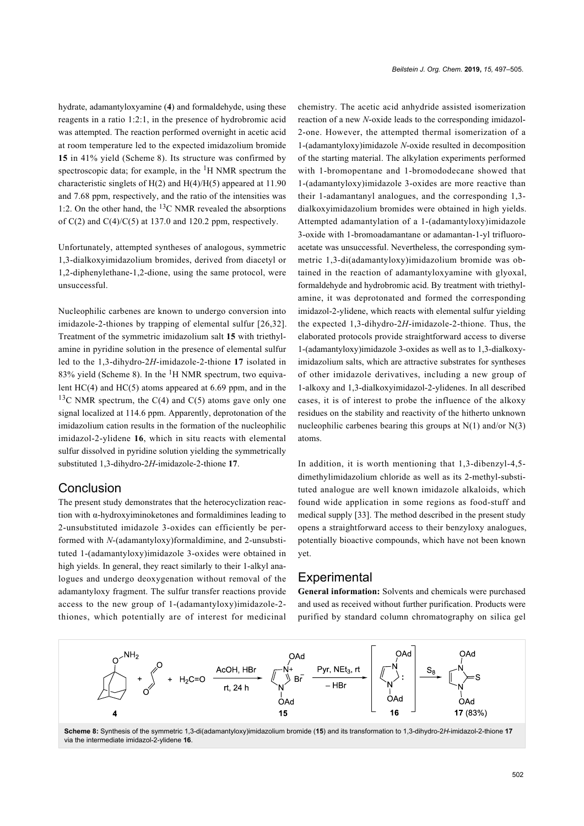hydrate, adamantyloxyamine (**4**) and formaldehyde, using these reagents in a ratio 1:2:1, in the presence of hydrobromic acid was attempted. The reaction performed overnight in acetic acid at room temperature led to the expected imidazolium bromide **15** in 41% yield ([Scheme 8\)](#page-5-0). Its structure was confirmed by spectroscopic data; for example, in the  ${}^{1}H$  NMR spectrum the characteristic singlets of  $H(2)$  and  $H(4)/H(5)$  appeared at 11.90 and 7.68 ppm, respectively, and the ratio of the intensities was 1:2. On the other hand, the  $13C$  NMR revealed the absorptions of  $C(2)$  and  $C(4)/C(5)$  at 137.0 and 120.2 ppm, respectively.

Unfortunately, attempted syntheses of analogous, symmetric 1,3-dialkoxyimidazolium bromides, derived from diacetyl or 1,2-diphenylethane-1,2-dione, using the same protocol, were unsuccessful.

Nucleophilic carbenes are known to undergo conversion into imidazole-2-thiones by trapping of elemental sulfur [\[26,32\]](#page-8-13). Treatment of the symmetric imidazolium salt **15** with triethylamine in pyridine solution in the presence of elemental sulfur led to the 1,3-dihydro-2*H*-imidazole-2-thione **17** isolated in 83% yield [\(Scheme 8](#page-5-0)). In the  ${}^{1}H$  NMR spectrum, two equivalent HC(4) and HC(5) atoms appeared at 6.69 ppm, and in the <sup>13</sup>C NMR spectrum, the C(4) and C(5) atoms gave only one signal localized at 114.6 ppm. Apparently, deprotonation of the imidazolium cation results in the formation of the nucleophilic imidazol-2-ylidene **16**, which in situ reacts with elemental sulfur dissolved in pyridine solution yielding the symmetrically substituted 1,3-dihydro-2*H*-imidazole-2-thione **17**.

### **Conclusion**

The present study demonstrates that the heterocyclization reaction with α-hydroxyiminoketones and formaldimines leading to 2-unsubstituted imidazole 3-oxides can efficiently be performed with *N*-(adamantyloxy)formaldimine, and 2-unsubstituted 1-(adamantyloxy)imidazole 3-oxides were obtained in high yields. In general, they react similarly to their 1-alkyl analogues and undergo deoxygenation without removal of the adamantyloxy fragment. The sulfur transfer reactions provide access to the new group of 1-(adamantyloxy)imidazole-2 thiones, which potentially are of interest for medicinal chemistry. The acetic acid anhydride assisted isomerization reaction of a new *N*-oxide leads to the corresponding imidazol-2-one. However, the attempted thermal isomerization of a 1-(adamantyloxy)imidazole *N*-oxide resulted in decomposition of the starting material. The alkylation experiments performed with 1-bromopentane and 1-bromododecane showed that 1-(adamantyloxy)imidazole 3-oxides are more reactive than their 1-adamantanyl analogues, and the corresponding 1,3 dialkoxyimidazolium bromides were obtained in high yields. Attempted adamantylation of a 1-(adamantyloxy)imidazole 3-oxide with 1-bromoadamantane or adamantan-1-yl trifluoroacetate was unsuccessful. Nevertheless, the corresponding symmetric 1,3-di(adamantyloxy)imidazolium bromide was obtained in the reaction of adamantyloxyamine with glyoxal, formaldehyde and hydrobromic acid. By treatment with triethylamine, it was deprotonated and formed the corresponding imidazol-2-ylidene, which reacts with elemental sulfur yielding the expected 1,3-dihydro-2*H*-imidazole-2-thione. Thus, the elaborated protocols provide straightforward access to diverse 1-(adamantyloxy)imidazole 3-oxides as well as to 1,3-dialkoxyimidazolium salts, which are attractive substrates for syntheses of other imidazole derivatives, including a new group of 1-alkoxy and 1,3-dialkoxyimidazol-2-ylidenes. In all described cases, it is of interest to probe the influence of the alkoxy residues on the stability and reactivity of the hitherto unknown nucleophilic carbenes bearing this groups at  $N(1)$  and/or  $N(3)$ atoms.

In addition, it is worth mentioning that 1,3-dibenzyl-4,5 dimethylimidazolium chloride as well as its 2-methyl-substituted analogue are well known imidazole alkaloids, which found wide application in some regions as food-stuff and medical supply [\[33\]](#page-8-19). The method described in the present study opens a straightforward access to their benzyloxy analogues, potentially bioactive compounds, which have not been known yet.

## **Experimental**

**General information:** Solvents and chemicals were purchased and used as received without further purification. Products were purified by standard column chromatography on silica gel

<span id="page-5-0"></span>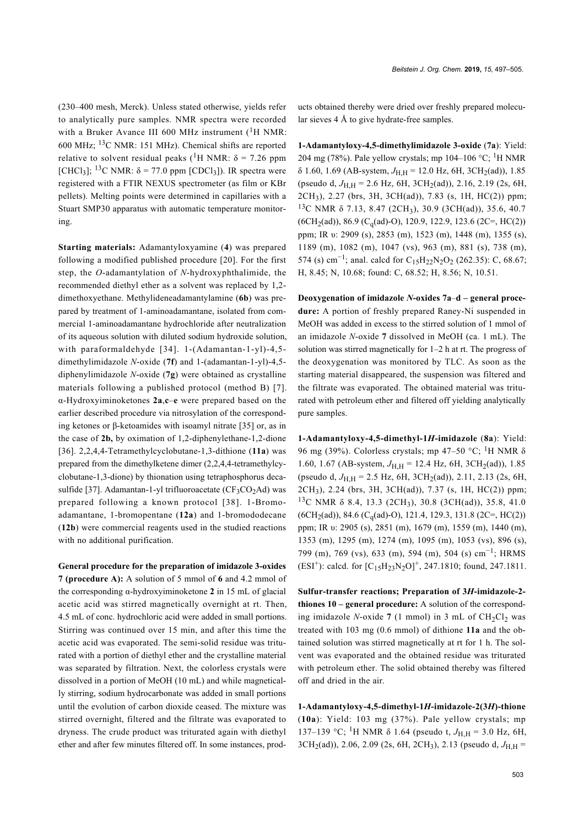(230–400 mesh, Merck). Unless stated otherwise, yields refer to analytically pure samples. NMR spectra were recorded with a Bruker Avance III 600 MHz instrument  $(^1H$  NMR: 600 MHz; 13C NMR: 151 MHz). Chemical shifts are reported relative to solvent residual peaks (<sup>1</sup>H NMR:  $\delta$  = 7.26 ppm [CHCl<sub>3</sub>]; <sup>13</sup>C NMR:  $\delta$  = 77.0 ppm [CDCl<sub>3</sub>]). IR spectra were registered with a FTIR NEXUS spectrometer (as film or KBr pellets). Melting points were determined in capillaries with a Stuart SMP30 apparatus with automatic temperature monitoring.

**Starting materials:** Adamantyloxyamine (**4**) was prepared following a modified published procedure [\[20\].](#page-8-9) For the first step, the *O*-adamantylation of *N*-hydroxyphthalimide, the recommended diethyl ether as a solvent was replaced by 1,2 dimethoxyethane. Methylideneadamantylamine (**6b**) was prepared by treatment of 1-aminoadamantane, isolated from commercial 1-aminoadamantane hydrochloride after neutralization of its aqueous solution with diluted sodium hydroxide solution, with paraformaldehyde [\[34\]](#page-8-20). 1-(Adamantan-1-yl)-4,5 dimethylimidazole *N*-oxide (**7f**) and 1-(adamantan-1-yl)-4,5 diphenylimidazole *N*-oxide (**7g**) were obtained as crystalline materials following a published protocol (method B) [\[7\]](#page-7-2). α-Hydroxyiminoketones **2a**,**c**–**e** were prepared based on the earlier described procedure via nitrosylation of the corresponding ketones or β-ketoamides with isoamyl nitrate [\[35\]](#page-8-21) or, as in the case of **2b,** by oximation of 1,2-diphenylethane-1,2-dione [\[36\]](#page-8-22). 2,2,4,4-Tetramethylcyclobutane-1,3-dithione (**11a**) was prepared from the dimethylketene dimer (2,2,4,4-tetramethylcyclobutane-1,3-dione) by thionation using tetraphosphorus deca-sulfide [\[37\].](#page-8-23) Adamantan-1-yl trifluoroacetate ( $CF<sub>3</sub>CO<sub>2</sub>Ad$ ) was prepared following a known protocol [\[38\]](#page-8-24). 1-Bromoadamantane, 1-bromopentane (**12a**) and 1-bromododecane (**12b**) were commercial reagents used in the studied reactions with no additional purification.

**General procedure for the preparation of imidazole 3-oxides 7 (procedure A):** A solution of 5 mmol of **6** and 4.2 mmol of the corresponding α-hydroxyiminoketone **2** in 15 mL of glacial acetic acid was stirred magnetically overnight at rt. Then, 4.5 mL of conc. hydrochloric acid were added in small portions. Stirring was continued over 15 min, and after this time the acetic acid was evaporated. The semi-solid residue was triturated with a portion of diethyl ether and the crystalline material was separated by filtration. Next, the colorless crystals were dissolved in a portion of MeOH (10 mL) and while magnetically stirring, sodium hydrocarbonate was added in small portions until the evolution of carbon dioxide ceased. The mixture was stirred overnight, filtered and the filtrate was evaporated to dryness. The crude product was triturated again with diethyl ether and after few minutes filtered off. In some instances, products obtained thereby were dried over freshly prepared molecular sieves 4 Å to give hydrate-free samples.

**1-Adamantyloxy-4,5-dimethylimidazole 3-oxide** (**7a**): Yield: 204 mg (78%). Pale yellow crystals; mp 104-106 °C; <sup>1</sup>H NMR  $\delta$  1.60, 1.69 (AB-system,  $J_{\text{H.H}}$  = 12.0 Hz, 6H, 3CH<sub>2</sub>(ad)), 1.85 (pseudo d,  $J_{\text{H H}}$  = 2.6 Hz, 6H, 3CH<sub>2</sub>(ad)), 2.16, 2.19 (2s, 6H, 2CH3), 2.27 (brs, 3H, 3CH(ad)), 7.83 (s, 1H, HC(2)) ppm; <sup>13</sup>C NMR δ 7.13, 8.47 (2CH<sub>3</sub>), 30.9 (3CH(ad)), 35.6, 40.7  $(6CH<sub>2</sub>(ad)), 86.9 (C<sub>a</sub>(ad)-O), 120.9, 122.9, 123.6 (2C=, HC(2))$ ppm; IR υ: 2909 (s), 2853 (m), 1523 (m), 1448 (m), 1355 (s), 1189 (m), 1082 (m), 1047 (vs), 963 (m), 881 (s), 738 (m), 574 (s) cm<sup>-1</sup>; anal. calcd for C<sub>15</sub>H<sub>22</sub>N<sub>2</sub>O<sub>2</sub> (262.35): C, 68.67; H, 8.45; N, 10.68; found: C, 68.52; H, 8.56; N, 10.51.

**Deoxygenation of imidazole** *N***-oxides 7a**–**d – general procedure:** A portion of freshly prepared Raney-Ni suspended in MeOH was added in excess to the stirred solution of 1 mmol of an imidazole *N*-oxide **7** dissolved in MeOH (ca. 1 mL). The solution was stirred magnetically for 1–2 h at rt. The progress of the deoxygenation was monitored by TLC. As soon as the starting material disappeared, the suspension was filtered and the filtrate was evaporated. The obtained material was triturated with petroleum ether and filtered off yielding analytically pure samples.

**1-Adamantyloxy-4,5-dimethyl-1***H***-imidazole** (**8a**): Yield: 96 mg (39%). Colorless crystals; mp 47–50 °C; <sup>1</sup>H NMR δ 1.60, 1.67 (AB-system,  $J_{H,H}$  = 12.4 Hz, 6H, 3CH<sub>2</sub>(ad)), 1.85 (pseudo d,  $J_{H,H}$  = 2.5 Hz, 6H, 3CH<sub>2</sub>(ad)), 2.11, 2.13 (2s, 6H, 2CH3), 2.24 (brs, 3H, 3CH(ad)), 7.37 (s, 1H, HC(2)) ppm; <sup>13</sup>C NMR δ 8.4, 13.3 (2CH<sub>3</sub>), 30.8 (3CH(ad)), 35.8, 41.0 (6CH<sub>2</sub>(ad)), 84.6 (C<sub>q</sub>(ad)-O), 121.4, 129.3, 131.8 (2C=, HC(2)) ppm; IR υ: 2905 (s), 2851 (m), 1679 (m), 1559 (m), 1440 (m), 1353 (m), 1295 (m), 1274 (m), 1095 (m), 1053 (vs), 896 (s), 799 (m), 769 (vs), 633 (m), 594 (m), 504 (s) cm<sup>-1</sup>; HRMS (ESI<sup>+</sup>): calcd. for  $[C_{15}H_{23}N_2O]^+$ , 247.1810; found, 247.1811.

**Sulfur-transfer reactions; Preparation of 3***H***-imidazole-2 thiones 10 – general procedure:** A solution of the corresponding imidazole *N*-oxide  $7(1 \text{ mmol})$  in  $3 \text{ mL of } CH_2Cl_2$  was treated with 103 mg (0.6 mmol) of dithione **11a** and the obtained solution was stirred magnetically at rt for 1 h. The solvent was evaporated and the obtained residue was triturated with petroleum ether. The solid obtained thereby was filtered off and dried in the air.

**1-Adamantyloxy-4,5-dimethyl-1***H***-imidazole-2(3***H***)-thione** (**10a**): Yield: 103 mg (37%). Pale yellow crystals; mp 137–139 °C; <sup>1</sup>H NMR δ 1.64 (pseudo t,  $J_{H,H}$  = 3.0 Hz, 6H, 3CH<sub>2</sub>(ad)), 2.06, 2.09 (2s, 6H, 2CH<sub>3</sub>), 2.13 (pseudo d, *J*<sub>H,H</sub> =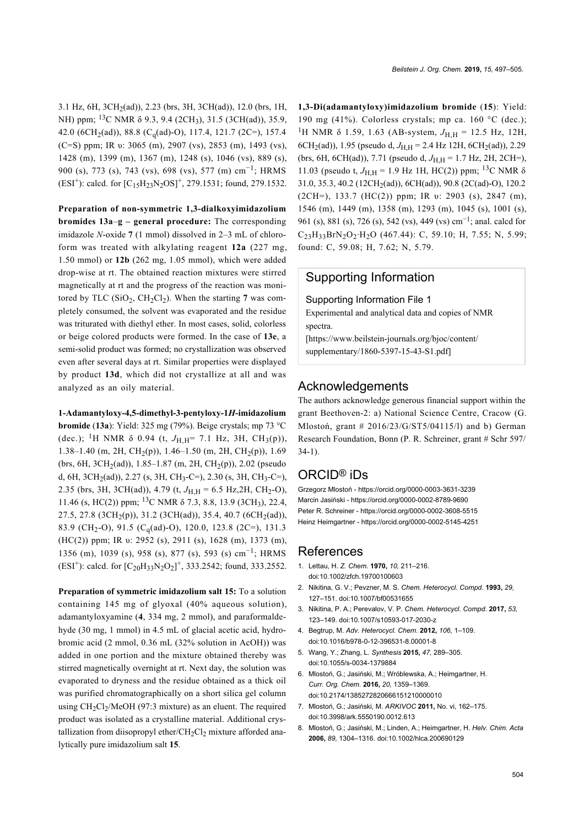3.1 Hz, 6H, 3CH2(ad)), 2.23 (brs, 3H, 3CH(ad)), 12.0 (brs, 1H, NH) ppm; <sup>13</sup>C NMR δ 9.3, 9.4 (2CH<sub>3</sub>), 31.5 (3CH(ad)), 35.9, 42.0 (6CH<sub>2</sub>(ad)), 88.8 (C<sub>q</sub>(ad)-O), 117.4, 121.7 (2C=), 157.4 (C=S) ppm; IR υ: 3065 (m), 2907 (vs), 2853 (m), 1493 (vs), 1428 (m), 1399 (m), 1367 (m), 1248 (s), 1046 (vs), 889 (s), 900 (s), 773 (s), 743 (vs), 698 (vs), 577 (m) cm<sup>-1</sup>; HRMS (ESI<sup>+</sup>): calcd. for  $[C_{15}H_{23}N_2OS]^+$ , 279.1531; found, 279.1532.

**Preparation of non-symmetric 1,3-dialkoxyimidazolium bromides 13a**–**g – general procedure:** The corresponding imidazole *N*-oxide **7** (1 mmol) dissolved in 2–3 mL of chloroform was treated with alkylating reagent **12a** (227 mg, 1.50 mmol) or **12b** (262 mg, 1.05 mmol), which were added drop-wise at rt. The obtained reaction mixtures were stirred magnetically at rt and the progress of the reaction was monitored by TLC  $(SiO<sub>2</sub>, CH<sub>2</sub>Cl<sub>2</sub>)$ . When the starting 7 was completely consumed, the solvent was evaporated and the residue was triturated with diethyl ether. In most cases, solid, colorless or beige colored products were formed. In the case of **13e**, a semi-solid product was formed; no crystallization was observed even after several days at rt. Similar properties were displayed by product **13d**, which did not crystallize at all and was analyzed as an oily material.

**1-Adamantyloxy-4,5-dimethyl-3-pentyloxy-1***H***-imidazolium bromide** (**13a**): Yield: 325 mg (79%). Beige crystals; mp 73 °C (dec.); <sup>1</sup>H NMR  $\delta$  0.94 (t,  $J_{H,H}$ = 7.1 Hz, 3H, CH<sub>3</sub>(p)), 1.38–1.40 (m, 2H, CH2(p)), 1.46–1.50 (m, 2H, CH2(p)), 1.69 (brs, 6H, 3CH<sub>2</sub>(ad)), 1.85–1.87 (m, 2H, CH<sub>2</sub>(p)), 2.02 (pseudo d, 6H, 3CH<sub>2</sub>(ad)), 2.27 (s, 3H, CH<sub>3</sub>-C=), 2.30 (s, 3H, CH<sub>3</sub>-C=), 2.35 (brs, 3H, 3CH(ad)), 4.79 (t,  $J_{H,H} = 6.5$  Hz, 2H, CH<sub>2</sub>-O), 11.46 (s, HC(2)) ppm; <sup>13</sup>C NMR  $\delta$  7.3, 8.8, 13.9 (3CH<sub>3</sub>), 22.4, 27.5, 27.8 (3CH<sub>2</sub>(p)), 31.2 (3CH(ad)), 35.4, 40.7 (6CH<sub>2</sub>(ad)), 83.9 (CH<sub>2</sub>-O), 91.5 (C<sub>q</sub>(ad)-O), 120.0, 123.8 (2C=), 131.3 (HC(2)) ppm; IR υ: 2952 (s), 2911 (s), 1628 (m), 1373 (m), 1356 (m), 1039 (s), 958 (s), 877 (s), 593 (s) cm<sup>-1</sup>; HRMS (ESI<sup>+</sup>): calcd. for  $[C_{20}H_{33}N_2O_2]^+$ , 333.2542; found, 333.2552.

**Preparation of symmetric imidazolium salt 15:** To a solution containing 145 mg of glyoxal (40% aqueous solution), adamantyloxyamine (**4**, 334 mg, 2 mmol), and paraformaldehyde (30 mg, 1 mmol) in 4.5 mL of glacial acetic acid, hydrobromic acid (2 mmol, 0.36 mL (32% solution in AcOH)) was added in one portion and the mixture obtained thereby was stirred magnetically overnight at rt. Next day, the solution was evaporated to dryness and the residue obtained as a thick oil was purified chromatographically on a short silica gel column using CH2Cl<sup>2</sup> /MeOH (97:3 mixture) as an eluent. The required product was isolated as a crystalline material. Additional crystallization from diisopropyl ether/ $CH_2Cl_2$  mixture afforded analytically pure imidazolium salt **15**.

**1,3-Di(adamantyloxy)imidazolium bromide** (**15**): Yield: 190 mg (41%). Colorless crystals; mp ca. 160 °C (dec.); <sup>1</sup>H NMR δ 1.59, 1.63 (AB-system,  $J_{\text{H,H}}$  = 12.5 Hz, 12H, 6CH<sub>2</sub>(ad)), 1.95 (pseudo d,  $J_{\text{H H}}$  = 2.4 Hz 12H, 6CH<sub>2</sub>(ad)), 2.29 (brs, 6H, 6CH(ad)), 7.71 (pseudo d,  $J_{H,H}$  = 1.7 Hz, 2H, 2CH=), 11.03 (pseudo t,  $J_{\text{H H}}$  = 1.9 Hz 1H, HC(2)) ppm; <sup>13</sup>C NMR δ 31.0, 35.3, 40.2 (12CH2(ad)), 6CH(ad)), 90.8 (2C(ad)-O), 120.2 (2CH=), 133.7 (HC(2)) ppm; IR υ: 2903 (s), 2847 (m), 1546 (m), 1449 (m), 1358 (m), 1293 (m), 1045 (s), 1001 (s), 961 (s), 881 (s), 726 (s), 542 (vs), 449 (vs) cm<sup>-1</sup>; anal. calcd for C23H33BrN2O2∙H2O (467.44): C, 59.10; H, 7.55; N, 5.99; found: C, 59.08; H, 7.62; N, 5.79.

## Supporting Information

#### Supporting Information File 1

Experimental and analytical data and copies of NMR spectra.

[\[https://www.beilstein-journals.org/bjoc/content/](https://www.beilstein-journals.org/bjoc/content/supplementary/1860-5397-15-43-S1.pdf) [supplementary/1860-5397-15-43-S1.pdf\]](https://www.beilstein-journals.org/bjoc/content/supplementary/1860-5397-15-43-S1.pdf)

## Acknowledgements

The authors acknowledge generous financial support within the grant Beethoven-2: a) National Science Centre, Cracow (G. Mlostoń, grant # 2016/23/G/ST5/04115/l) and b) German Research Foundation, Bonn (P. R. Schreiner, grant # Schr 597/ 34-1).

### ORCID® iDs

Grzegorz Mlostoń -<https://orcid.org/0000-0003-3631-3239> Marcin Jasiński - <https://orcid.org/0000-0002-8789-9690> Peter R. Schreiner -<https://orcid.org/0000-0002-3608-5515> Heinz Heimgartner -<https://orcid.org/0000-0002-5145-4251>

#### References

- <span id="page-7-0"></span>1. Lettau, H. *Z. Chem.* **1970,** *10,* 211–216. [doi:10.1002/zfch.19700100603](https://doi.org/10.1002%2Fzfch.19700100603)
- 2. Nikitina, G. V.; Pevzner, M. S. *Chem. Heterocycl. Compd.* **1993,** *29,* 127–151. [doi:10.1007/bf00531655](https://doi.org/10.1007%2Fbf00531655)
- 3. Nikitina, P. A.; Perevalov, V. P. *Chem. Heterocycl. Compd.* **2017,** *53,* 123–149. [doi:10.1007/s10593-017-2030-z](https://doi.org/10.1007%2Fs10593-017-2030-z)
- 4. Begtrup, M. *Adv. Heterocycl. Chem.* **2012,** *106,* 1–109. [doi:10.1016/b978-0-12-396531-8.00001-8](https://doi.org/10.1016%2Fb978-0-12-396531-8.00001-8)
- 5. Wang, Y.; Zhang, L. *Synthesis* **2015,** *47,* 289–305. [doi:10.1055/s-0034-1379884](https://doi.org/10.1055%2Fs-0034-1379884)
- <span id="page-7-1"></span>6. Mlostoń, G.; Jasiński, M.; Wróblewska, A.; Heimgartner, H. *Curr. Org. Chem.* **2016,** *20,* 1359–1369. [doi:10.2174/1385272820666151210000010](https://doi.org/10.2174%2F1385272820666151210000010)
- <span id="page-7-2"></span>7. Mlostoń, G.; Jasiński, M. *ARKIVOC* **2011,** No. vi, 162–175. [doi:10.3998/ark.5550190.0012.613](https://doi.org/10.3998%2Fark.5550190.0012.613)
- <span id="page-7-3"></span>8. Mlostoń, G.; Jasiński, M.; Linden, A.; Heimgartner, H. *Helv. Chim. Acta* **2006,** *89,* 1304–1316. [doi:10.1002/hlca.200690129](https://doi.org/10.1002%2Fhlca.200690129)